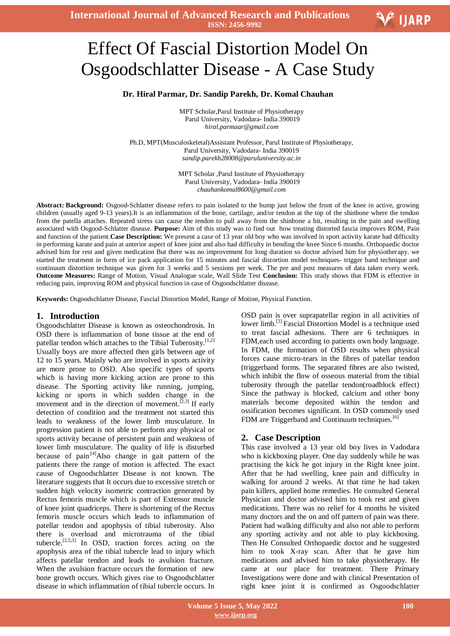

# Effect Of Fascial Distortion Model On Osgoodschlatter Disease - A Case Study

### **Dr. Hiral Parmar, Dr. Sandip Parekh, Dr. Komal Chauhan**

MPT Scholar,Parul Institute of Physiotherapy Parul University, Vadodara- India 390019 *hiral.parmaar@gmail.com*

Ph.D, MPT(Musculoskeletal)Assistant Professor, Parul Institute of Physiotherapy, Parul University, Vadodara- India 390019 *[sandip.parekh28008@paruluniversity.ac.in](mailto:sandip.parekh28008@paruluniversity.ac.in)*

> MPT Scholar ,Parul Institute of Physiotherapy Parul University, Vadodara- India 390019 *chauhankomal8600@gmail.com*

**Abstract: Background:** Osgood-Schlatter disease refers to pain isolated to the bump just below the front of the knee in active, growing children (usually aged 9-13 years).It is an inflammation of the bone, cartilage, and/or tendon at the top of the shinbone where the tendon from the patella attaches. Repeated stress can cause the tendon to pull away from the shinbone a bit, resulting in the pain and swelling associated with Osgood-Schlatter disease. **Purpose:** Aim of this study was to find out how treating distorted fascia improves ROM, Pain and function of the patient.**Case Description:** We present a case of 13 year old boy who was involved in sport activity karate had difficulty in performing karate and pain at anterior aspect of knee joint and also had difficulty in bending the knee Since 6 months. Orthopaedic doctor advised him for rest and given medication But there was no improvement for long duration so doctor advised him for physiotherapy. we started the treatment in form of ice pack application for 15 minutes and fascial distortion model techniques- trigger band technique and continuum distortion technique was given for 3 weeks and 5 sessions per week. The pre and post measures of data taken every week. **Outcome Measures:** Range of Motion, Visual Analogue scale, Wall Slide Test **Conclusion:** This study shows that FDM is effective in reducing pain, improving ROM and physical function in case of Osgoodschlatter disease.

**Keywords:** Osgoodschlatter Disease, Fascial Distortion Model, Range of Motion, Physical Function.

#### **1. Introduction**

Osgoodschlatter Disease is known as osteochondrosis. In OSD there is inflammation of bone tissue at the end of patellar tendon which attaches to the Tibial Tuberosity.<sup>[1,2]</sup> Usually boys are more affected then girls between age of 12 to 15 years. Mainly who are involved in sports activity are more prone to OSD. Also specific types of sports which is having more kicking action are prone to this disease. The Sporting activity like running, jumping, kicking or sports in which sudden change in the movement and in the direction of movement.<sup>[2,3]</sup> If early detection of condition and the treatment not started this leads to weakness of the lower limb musculature. In progression patient is not able to perform any physical or sports activity because of persistent pain and weakness of lower limb musculature. The quality of life is disturbed because of pain.<sup>[4]</sup>Also change in gait pattern of the patients there the range of motion is affected. The exact cause of Osgoodschlatter Disease is not known. The literature suggests that It occurs due to excessive stretch or sudden high velocity isometric contraction generated by Rectus femoris muscle which is part of Extensor muscle of knee joint quadriceps. There is shortening of the Rectus femoris muscle occurs which leads to inflammation of patellar tendon and apophysis of tibial tuberosity. Also there is overload and microtrauma of the tibial tubercle.<sup>[2,5,3]</sup> In OSD, traction forces acting on the apophysis area of the tibial tubercle lead to injury which affects patellar tendon and leads to avulsion fracture. When the avulsion fracture occurs the formation of new bone growth occurs. Which gives rise to Osgoodschlatter disease in which inflammation of tibial tubercle occurs. In

OSD pain is over suprapatellar region in all activities of lower limb.<sup>[3]</sup> Fascial Distortion Model is a technique used to treat fascial adhesions. There are 6 techniques in FDM,each used according to patients own body language. In FDM, the formation of OSD results when physical forces cause micro-tears in the fibres of patellar tendon (triggerband forms. The separated fibres are also twisted, which inhibit the flow of osseous material from the tibial tuberosity through the patellar tendon(roadblock effect) Since the pathway is blocked, calcium and other bony materials become deposited within the tendon and ossification becomes significant. In OSD commonly used FDM are Triggerband and Continuum techniques.<sup>[6]</sup>

# **2. Case Description**

This case involved a 13 year old boy lives in Vadodara who is kickboxing player. One day suddenly while he was practising the kick he got injury in the Right knee joint. After that he had swelling, knee pain and difficulty in walking for around 2 weeks. At that time he had taken pain killers, applied home remedies. He consulted General Physician and doctor advised him to took rest and given medications. There was no relief for 4 months he visited many doctors and the on and off pattern of pain was there. Patient had walking difficulty and also not able to perform any sporting activity and not able to play kickboxing. Then He Consulted Orthopaedic doctor and he suggested him to took X-ray scan. After that he gave him medications and advised him to take physiotherapy. He came at our place for treatment. There Primary Investigations were done and with clinical Presentation of right knee joint it is confirmed as Osgoodschlatter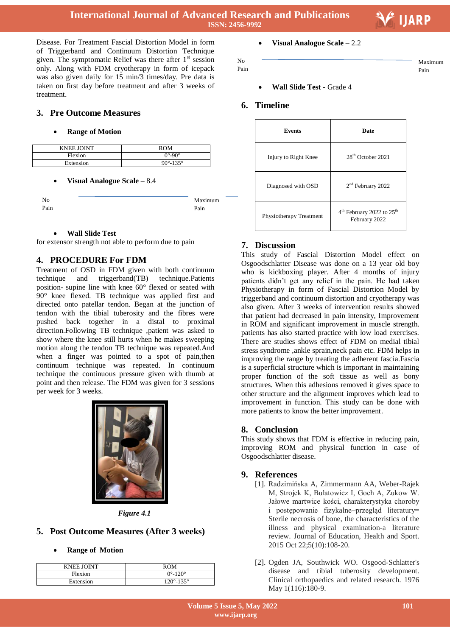Maximum Pain



Disease. For Treatment Fascial Distortion Model in form of Triggerband and Continuum Distortion Technique given. The symptomatic Relief was there after  $1<sup>st</sup>$  session only. Along with FDM cryotherapy in form of icepack was also given daily for 15 min/3 times/day. Pre data is taken on first day before treatment and after 3 weeks of treatment.

# **3. Pre Outcome Measures**

#### **Range of Motion**

| <b>KNEE JOINT</b> | ROM                        |
|-------------------|----------------------------|
| Flexion           | $0^\circ$ -90 $^\circ$     |
| Extension         | $90^{\circ} - 135^{\circ}$ |

#### **Visual Analogue Scale –** 8.4

| No   |  |
|------|--|
| Pain |  |

#### **Wall Slide Test**

for extensor strength not able to perform due to pain

# **4. PROCEDURE For FDM**

Treatment of OSD in FDM given with both continuum technique and triggerband(TB) technique.Patients position- supine line with knee 60° flexed or seated with 90° knee flexed. TB technique was applied first and directed onto patellar tendon. Began at the junction of tendon with the tibial tuberosity and the fibres were pushed back together in a distal to proximal direction.Following TB technique ,patient was asked to show where the knee still hurts when he makes sweeping motion along the tendon TB technique was repeated.And when a finger was pointed to a spot of pain,then continuum technique was repeated. In continuum technique the continuous pressure given with thumb at point and then release. The FDM was given for 3 sessions per week for 3 weeks.



*Figure 4.1*

# **5. Post Outcome Measures (After 3 weeks)**

#### **Range of Motion**

| <b>KNEE JOINT</b> | ROM                         |
|-------------------|-----------------------------|
| Flexion           | $0^{\circ} - 120^{\circ}$   |
| Extension         | $120^{\circ} - 135^{\circ}$ |

#### **Visual Analogue Scale** – 2.2

No

Pain

# **Wall Slide Test -** Grade 4

#### **6. Timeline**

| <b>Events</b>           | Date                                                               |
|-------------------------|--------------------------------------------------------------------|
| Injury to Right Knee    | $28th$ October 2021                                                |
| Diagnosed with OSD      | 2 <sup>nd</sup> February 2022                                      |
| Physiotherapy Treatment | 4 <sup>th</sup> February 2022 to 25 <sup>th</sup><br>February 2022 |

# **7. Discussion**

This study of Fascial Distortion Model effect on Osgoodschlatter Disease was done on a 13 year old boy who is kickboxing player. After 4 months of injury patients didn't get any relief in the pain. He had taken Physiotherapy in form of Fascial Distortion Model by triggerband and continuum distortion and cryotherapy was also given. After 3 weeks of intervention results showed that patient had decreased in pain intensity, Improvement in ROM and significant improvement in muscle strength. patients has also started practice with low load exercises. There are studies shows effect of FDM on medial tibial stress syndrome ,ankle sprain,neck pain etc. FDM helps in improving the range by treating the adherent fascia.Fascia is a superficial structure which is important in maintaining proper function of the soft tissue as well as bony structures. When this adhesions removed it gives space to other structure and the alignment improves which lead to improvement in function. This study can be done with more patients to know the better improvement.

# **8. Conclusion**

This study shows that FDM is effective in reducing pain, improving ROM and physical function in case of Osgoodschlatter disease.

# **9. References**

- [1]. Radzimińska A, Zimmermann AA, Weber-Rajek M, Strojek K, Bułatowicz I, Goch A, Zukow W. Jałowe martwice kości, charakterystyka choroby i postępowanie fizykalne–przegląd literatury= Sterile necrosis of bone, the characteristics of the illness and physical examination-a literature review. Journal of Education, Health and Sport. 2015 Oct 22;5(10):108-20.
- [2]. Ogden JA, Southwick WO. Osgood-Schlatter's disease and tibial tuberosity development. Clinical orthopaedics and related research. 1976 May 1(116):180-9.

Maximum Pain